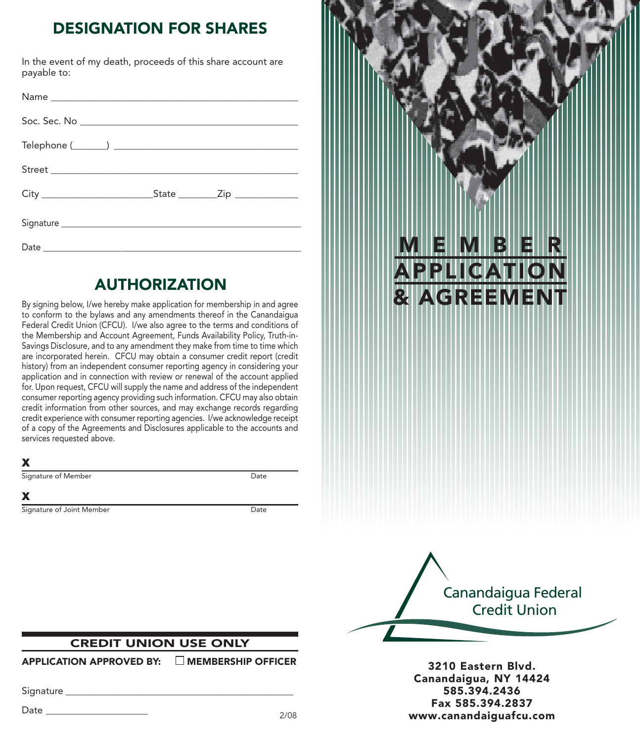# DESIGNATION FOR SHARES

In the event of my death, proceeds of this share account are payable to:

## AUTHORIZATION

By signing below, I/we hereby make application for membership in and agree to conform to the bylaws and any amendments thereof in the Canandaigua Federal Credit Union (CFCU). I/we also agree to the terms and conditions of the Membership and Account Agreement, Funds Availability Policy, Truth-in-Savings Disclosure, and to any amendment they make from time to time which are incorporated herein. CFCU may obtain a consumer credit report (credit history) from an independent consumer reporting agency in considering your application and in connection with review or renewal of the account applied for. Upon request, CFCU will supply the name and address of the independent consumer reporting agency providing such information. CFCU may also obtain credit information from other sources, and may exchange records regarding credit experience with consumer reporting agencies. I/we acknowledge receipt of a copy of the Agreements and Disclosures applicable to the accounts and services requested above.

### X

Signature of Member Date

#### X

Signature of Joint Member Date





3210 Eastern Blvd. Canandaigua, NY 14424 585.394.2436 Fax 585.394.2837 www.canandaiguafcu.com

### CREDIT UNION USE ONLY

APPLICATION APPROVED BY: MEMBERSHIP OFFICER

Signature **Example 2018** 

Date \_\_\_\_\_\_\_\_\_\_\_\_\_\_\_\_\_\_\_\_\_